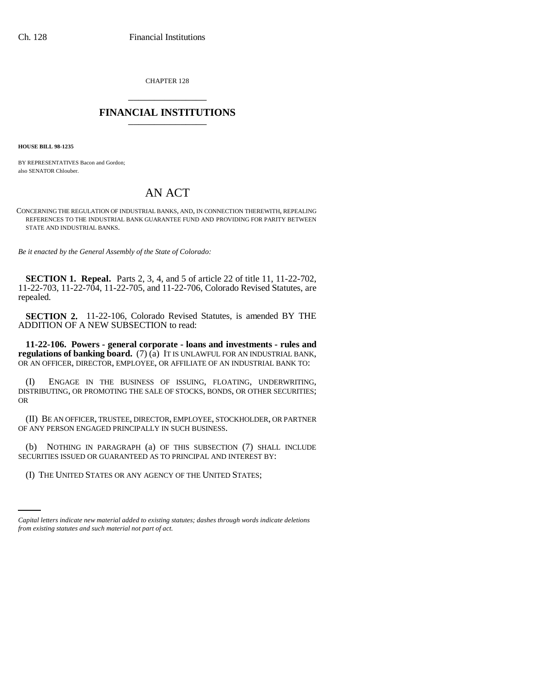CHAPTER 128 \_\_\_\_\_\_\_\_\_\_\_\_\_\_\_

## **FINANCIAL INSTITUTIONS** \_\_\_\_\_\_\_\_\_\_\_\_\_\_\_

**HOUSE BILL 98-1235**

BY REPRESENTATIVES Bacon and Gordon; also SENATOR Chlouber.

## AN ACT

CONCERNING THE REGULATION OF INDUSTRIAL BANKS, AND, IN CONNECTION THEREWITH, REPEALING REFERENCES TO THE INDUSTRIAL BANK GUARANTEE FUND AND PROVIDING FOR PARITY BETWEEN STATE AND INDUSTRIAL BANKS.

*Be it enacted by the General Assembly of the State of Colorado:*

**SECTION 1. Repeal.** Parts 2, 3, 4, and 5 of article 22 of title 11, 11-22-702, 11-22-703, 11-22-704, 11-22-705, and 11-22-706, Colorado Revised Statutes, are repealed.

**SECTION 2.** 11-22-106, Colorado Revised Statutes, is amended BY THE ADDITION OF A NEW SUBSECTION to read:

**11-22-106. Powers - general corporate - loans and investments - rules and regulations of banking board.** (7) (a) IT IS UNLAWFUL FOR AN INDUSTRIAL BANK, OR AN OFFICER, DIRECTOR, EMPLOYEE, OR AFFILIATE OF AN INDUSTRIAL BANK TO:

(I) ENGAGE IN THE BUSINESS OF ISSUING, FLOATING, UNDERWRITING, DISTRIBUTING, OR PROMOTING THE SALE OF STOCKS, BONDS, OR OTHER SECURITIES; OR

(II) BE AN OFFICER, TRUSTEE, DIRECTOR, EMPLOYEE, STOCKHOLDER, OR PARTNER OF ANY PERSON ENGAGED PRINCIPALLY IN SUCH BUSINESS.

(b) NOTHING IN PARAGRAPH (a) OF THIS SUBSECTION (7) SHALL INCLUDE SECURITIES ISSUED OR GUARANTEED AS TO PRINCIPAL AND INTEREST BY:

(I) THE UNITED STATES OR ANY AGENCY OF THE UNITED STATES;

*Capital letters indicate new material added to existing statutes; dashes through words indicate deletions from existing statutes and such material not part of act.*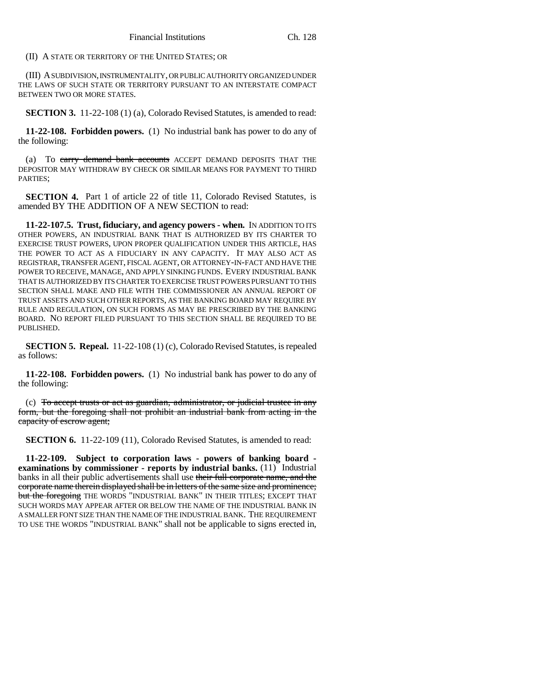(II) A STATE OR TERRITORY OF THE UNITED STATES; OR

(III) A SUBDIVISION, INSTRUMENTALITY, OR PUBLIC AUTHORITY ORGANIZED UNDER THE LAWS OF SUCH STATE OR TERRITORY PURSUANT TO AN INTERSTATE COMPACT BETWEEN TWO OR MORE STATES.

**SECTION 3.** 11-22-108 (1) (a), Colorado Revised Statutes, is amended to read:

**11-22-108. Forbidden powers.** (1) No industrial bank has power to do any of the following:

(a) To carry demand bank accounts ACCEPT DEMAND DEPOSITS THAT THE DEPOSITOR MAY WITHDRAW BY CHECK OR SIMILAR MEANS FOR PAYMENT TO THIRD PARTIES;

**SECTION 4.** Part 1 of article 22 of title 11, Colorado Revised Statutes, is amended BY THE ADDITION OF A NEW SECTION to read:

**11-22-107.5. Trust, fiduciary, and agency powers - when.** IN ADDITION TO ITS OTHER POWERS, AN INDUSTRIAL BANK THAT IS AUTHORIZED BY ITS CHARTER TO EXERCISE TRUST POWERS, UPON PROPER QUALIFICATION UNDER THIS ARTICLE, HAS THE POWER TO ACT AS A FIDUCIARY IN ANY CAPACITY. IT MAY ALSO ACT AS REGISTRAR, TRANSFER AGENT, FISCAL AGENT, OR ATTORNEY-IN-FACT AND HAVE THE POWER TO RECEIVE, MANAGE, AND APPLY SINKING FUNDS. EVERY INDUSTRIAL BANK THAT IS AUTHORIZED BY ITS CHARTER TO EXERCISE TRUST POWERS PURSUANT TO THIS SECTION SHALL MAKE AND FILE WITH THE COMMISSIONER AN ANNUAL REPORT OF TRUST ASSETS AND SUCH OTHER REPORTS, AS THE BANKING BOARD MAY REQUIRE BY RULE AND REGULATION, ON SUCH FORMS AS MAY BE PRESCRIBED BY THE BANKING BOARD. NO REPORT FILED PURSUANT TO THIS SECTION SHALL BE REQUIRED TO BE PUBLISHED.

**SECTION 5. Repeal.** 11-22-108 (1) (c), Colorado Revised Statutes, is repealed as follows:

**11-22-108. Forbidden powers.** (1) No industrial bank has power to do any of the following:

(c) To accept trusts or act as guardian, administrator, or judicial trustee in any form, but the foregoing shall not prohibit an industrial bank from acting in the capacity of escrow agent;

**SECTION 6.** 11-22-109 (11), Colorado Revised Statutes, is amended to read:

**11-22-109. Subject to corporation laws - powers of banking board examinations by commissioner - reports by industrial banks.** (11) Industrial banks in all their public advertisements shall use their full corporate name, and the corporate name therein displayed shall be in letters of the same size and prominence; but the foregoing THE WORDS "INDUSTRIAL BANK" IN THEIR TITLES; EXCEPT THAT SUCH WORDS MAY APPEAR AFTER OR BELOW THE NAME OF THE INDUSTRIAL BANK IN A SMALLER FONT SIZE THAN THE NAME OF THE INDUSTRIAL BANK. THE REQUIREMENT TO USE THE WORDS "INDUSTRIAL BANK" shall not be applicable to signs erected in,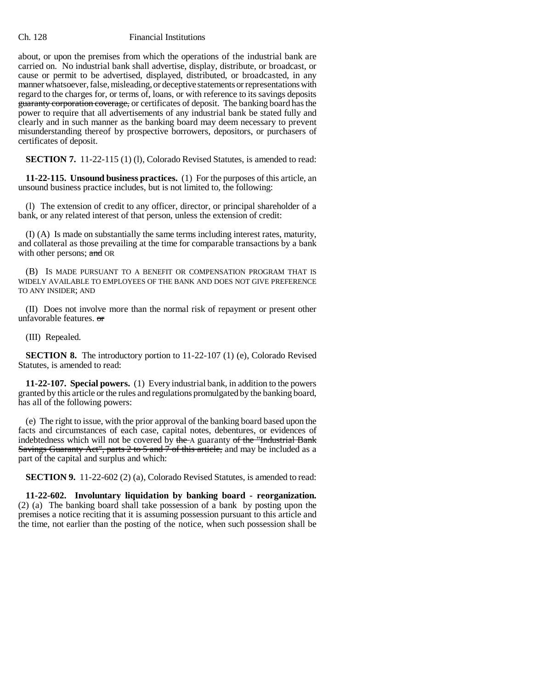## Ch. 128 Financial Institutions

about, or upon the premises from which the operations of the industrial bank are carried on. No industrial bank shall advertise, display, distribute, or broadcast, or cause or permit to be advertised, displayed, distributed, or broadcasted, in any manner whatsoever, false, misleading, or deceptive statements or representations with regard to the charges for, or terms of, loans, or with reference to its savings deposits guaranty corporation coverage, or certificates of deposit. The banking board has the power to require that all advertisements of any industrial bank be stated fully and clearly and in such manner as the banking board may deem necessary to prevent misunderstanding thereof by prospective borrowers, depositors, or purchasers of certificates of deposit.

**SECTION 7.** 11-22-115 (1) (1), Colorado Revised Statutes, is amended to read:

**11-22-115. Unsound business practices.** (1) For the purposes of this article, an unsound business practice includes, but is not limited to, the following:

(l) The extension of credit to any officer, director, or principal shareholder of a bank, or any related interest of that person, unless the extension of credit:

(I) (A) Is made on substantially the same terms including interest rates, maturity, and collateral as those prevailing at the time for comparable transactions by a bank with other persons; and OR

(B) IS MADE PURSUANT TO A BENEFIT OR COMPENSATION PROGRAM THAT IS WIDELY AVAILABLE TO EMPLOYEES OF THE BANK AND DOES NOT GIVE PREFERENCE TO ANY INSIDER; AND

(II) Does not involve more than the normal risk of repayment or present other unfavorable features. or

(III) Repealed.

**SECTION 8.** The introductory portion to 11-22-107 (1) (e), Colorado Revised Statutes, is amended to read:

**11-22-107. Special powers.** (1) Every industrial bank, in addition to the powers granted by this article or the rules and regulations promulgated by the banking board, has all of the following powers:

(e) The right to issue, with the prior approval of the banking board based upon the facts and circumstances of each case, capital notes, debentures, or evidences of indebtedness which will not be covered by the A guaranty of the "Industrial Bank Savings Guaranty Act", parts 2 to 5 and 7 of this article, and may be included as a part of the capital and surplus and which:

**SECTION 9.** 11-22-602 (2) (a), Colorado Revised Statutes, is amended to read:

**11-22-602. Involuntary liquidation by banking board - reorganization.** (2) (a) The banking board shall take possession of a bank by posting upon the premises a notice reciting that it is assuming possession pursuant to this article and the time, not earlier than the posting of the notice, when such possession shall be